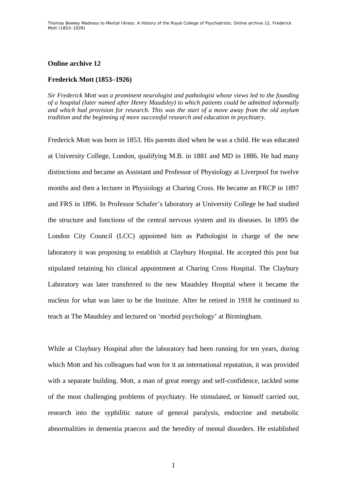## **Online archive 12**

## **Frederick Mott (1853–1926)**

*Sir Frederick Mott was a prominent neurologist and pathologist whose views led to the founding of a hospital (later named after Henry Maudsley) to which patients could be admitted informally and which had provision for research. This was the start of a move away from the old asylum tradition and the beginning of more successful research and education in psychiatry.* 

Frederick Mott was born in 1853. His parents died when he was a child. He was educated at University College, London, qualifying M.B. in 1881 and MD in 1886. He had many distinctions and became an Assistant and Professor of Physiology at Liverpool for twelve months and then a lecturer in Physiology at Charing Cross. He became an FRCP in 1897 and FRS in 1896. In Professor Schafer's laboratory at University College he had studied the structure and functions of the central nervous system and its diseases. In 1895 the London City Council (LCC) appointed him as Pathologist in charge of the new laboratory it was proposing to establish at Claybury Hospital. He accepted this post but stipulated retaining his clinical appointment at Charing Cross Hospital. The Claybury Laboratory was later transferred to the new Maudsley Hospital where it became the nucleus for what was later to be the Institute. After he retired in 1918 he continued to teach at The Maudsley and lectured on 'morbid psychology' at Birmingham.

While at Claybury Hospital after the laboratory had been running for ten years, during which Mott and his colleagues had won for it an international reputation, it was provided with a separate building. Mott, a man of great energy and self-confidence, tackled some of the most challenging problems of psychiatry. He stimulated, or himself carried out, research into the syphilitic nature of general paralysis, endocrine and metabolic abnormalities in dementia praecox and the heredity of mental disorders. He established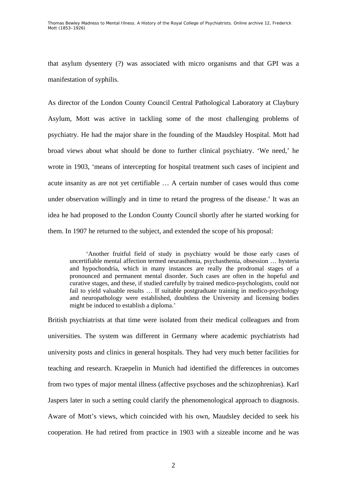Thomas Bewley *Madness to Mental Illness. A History of the Royal College of Psychiatrists*. Online archive 12, *Frederick Mott (1853–1926)*

that asylum dysentery (?) was associated with micro organisms and that GPI was a manifestation of syphilis.

As director of the London County Council Central Pathological Laboratory at Claybury Asylum, Mott was active in tackling some of the most challenging problems of psychiatry. He had the major share in the founding of the Maudsley Hospital. Mott had broad views about what should be done to further clinical psychiatry. 'We need,' he wrote in 1903, 'means of intercepting for hospital treatment such cases of incipient and acute insanity as are not yet certifiable … A certain number of cases would thus come under observation willingly and in time to retard the progress of the disease.' It was an idea he had proposed to the London County Council shortly after he started working for them. In 1907 he returned to the subject, and extended the scope of his proposal:

 'Another fruitful field of study in psychiatry would be those early cases of uncertifiable mental affection termed neurasthenia, psychasthenia, obsession … hysteria and hypochondria, which in many instances are really the prodromal stages of a pronounced and permanent mental disorder. Such cases are often in the hopeful and curative stages, and these, if studied carefully by trained medico-psychologists, could not fail to yield valuable results … If suitable postgraduate training in medico-psychology and neuropathology were established, doubtless the University and licensing bodies might be induced to establish a diploma.'

British psychiatrists at that time were isolated from their medical colleagues and from universities. The system was different in Germany where academic psychiatrists had university posts and clinics in general hospitals. They had very much better facilities for teaching and research. Kraepelin in Munich had identified the differences in outcomes from two types of major mental illness (affective psychoses and the schizophrenias). Karl Jaspers later in such a setting could clarify the phenomenological approach to diagnosis. Aware of Mott's views, which coincided with his own, Maudsley decided to seek his cooperation. He had retired from practice in 1903 with a sizeable income and he was